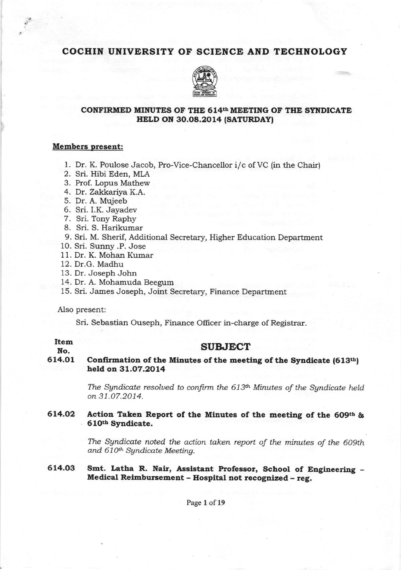# COCHIN UNIVERSITY OF SCIENCE AND TECHNOLOGY



# CONFIRMED MINUTES OF THE 614<sup>th</sup> MEETING OF THE SYNDICATE HELD ON 30.08.2014 (SATURDAY)

### Members present:

- 1. Dr. K. Poulose Jacob, Pro-Vice-Chancellor i/c of VC (in the Chair)
- 2. Sri. Hibi Eden, MLA
- 3. Prof. Lopus Mathew
- 4. Dr. Zakkariya K.A.
- 5. Dr. A. Mujeeb
- 6. Sri. I.K. Jayadev
- 7. Sri. Tony Raphy
- 8. Sri. S. Harikumar
- 9. Sri. M. Sherif, Additional Secretary, Higher Education Department
- 1O. Sri. Sunny .P. Jose
- 11. Dr. K. Mohan Kumar
- 12. Dr.G. Madhu
- 13. Dr. Joseph John
- 14. Dr. A. Mohamuda Beegum
- 15. Sri. James Joseph, Joint Secretary, Finance Department

Also present:

Sri. Sebastian Ouseph, Finance Officer in-charge of Registrar.

#### No.

## **SUBJECT**

614.O1 Confirmation of the Minutes of the meeting of the Syndicate  $(613<sup>th</sup>)$ held on 31.O7.2OL4

> The Syndicate resolved to confirm the  $613<sup>th</sup>$  Minutes of the Syndicate held on 31.07.2O14.

# 614.02 Action Taken Report of the Minutes of the meeting of the 609th  $\&$ . 6l0tb Syndicate.

The Syndicate noted the action taken report of the minutes of the 609th and 610<sup>th</sup> Syndicate Meeting.

Smt. Latha R. Nair, Assistant Professor, School of Engineering -Medical Reimbursement - Hospital not recognized - reg. 614.O3

Page 1 of 19